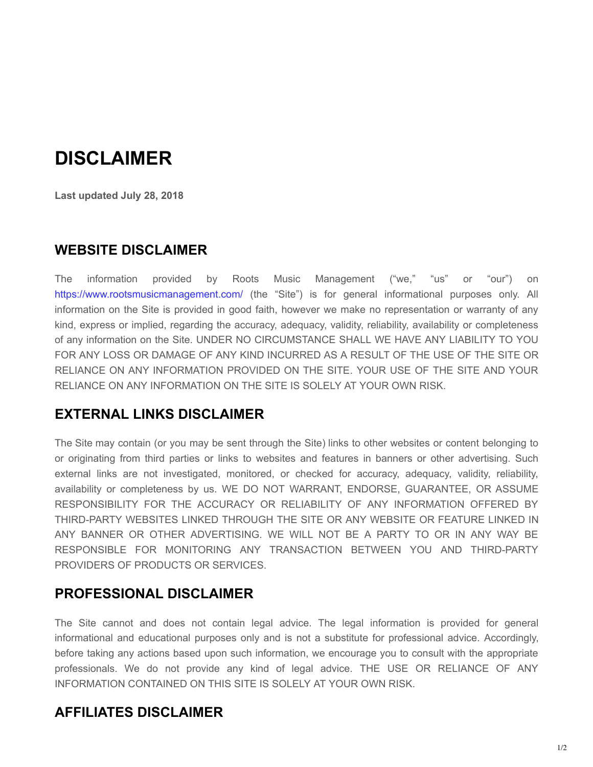# **DISCLAIMER**

**Last updated July 28, 2018**

#### **WEBSITE DISCLAIMER**

The information provided by Roots Music Management ("we," "us" or "our") on https://www.rootsmusicmanagement.com/ (the "Site") is for general informational purposes only. All information on the Site is provided in good faith, however we make no representation or warranty of any kind, express or implied, regarding the accuracy, adequacy, validity, reliability, availability or completeness of any information on the Site. UNDER NO CIRCUMSTANCE SHALL WE HAVE ANY LIABILITY TO YOU FOR ANY LOSS OR DAMAGE OF ANY KIND INCURRED AS A RESULT OF THE USE OF THE SITE OR RELIANCE ON ANY INFORMATION PROVIDED ON THE SITE. YOUR USE OF THE SITE AND YOUR RELIANCE ON ANY INFORMATION ON THE SITE IS SOLELY AT YOUR OWN RISK.

#### **EXTERNAL LINKS DISCLAIMER**

The Site may contain (or you may be sent through the Site) links to other websites or content belonging to or originating from third parties or links to websites and features in banners or other advertising. Such external links are not investigated, monitored, or checked for accuracy, adequacy, validity, reliability, availability or completeness by us. WE DO NOT WARRANT, ENDORSE, GUARANTEE, OR ASSUME RESPONSIBILITY FOR THE ACCURACY OR RELIABILITY OF ANY INFORMATION OFFERED BY THIRD-PARTY WEBSITES LINKED THROUGH THE SITE OR ANY WEBSITE OR FEATURE LINKED IN ANY BANNER OR OTHER ADVERTISING. WE WILL NOT BE A PARTY TO OR IN ANY WAY BE RESPONSIBLE FOR MONITORING ANY TRANSACTION BETWEEN YOU AND THIRDPARTY PROVIDERS OF PRODUCTS OR SERVICES.

#### **PROFESSIONAL DISCLAIMER**

The Site cannot and does not contain legal advice. The legal information is provided for general informational and educational purposes only and is not a substitute for professional advice. Accordingly, before taking any actions based upon such information, we encourage you to consult with the appropriate professionals. We do not provide any kind of legal advice. THE USE OR RELIANCE OF ANY INFORMATION CONTAINED ON THIS SITE IS SOLELY AT YOUR OWN RISK.

### **AFFILIATES DISCLAIMER**